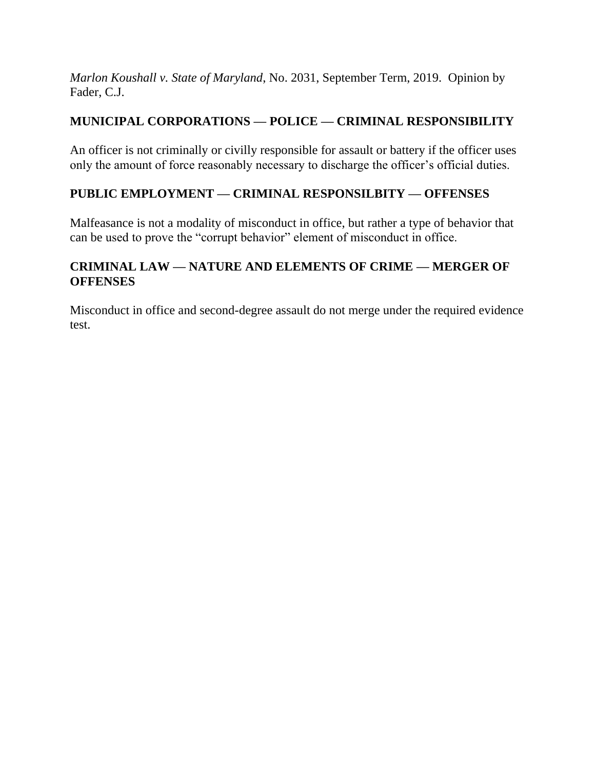*Marlon Koushall v. State of Maryland*, No. 2031, September Term, 2019. Opinion by Fader, C.J.

# **MUNICIPAL CORPORATIONS — POLICE — CRIMINAL RESPONSIBILITY**

An officer is not criminally or civilly responsible for assault or battery if the officer uses only the amount of force reasonably necessary to discharge the officer's official duties.

# **PUBLIC EMPLOYMENT — CRIMINAL RESPONSILBITY — OFFENSES**

Malfeasance is not a modality of misconduct in office, but rather a type of behavior that can be used to prove the "corrupt behavior" element of misconduct in office.

# **CRIMINAL LAW — NATURE AND ELEMENTS OF CRIME — MERGER OF OFFENSES**

Misconduct in office and second-degree assault do not merge under the required evidence test.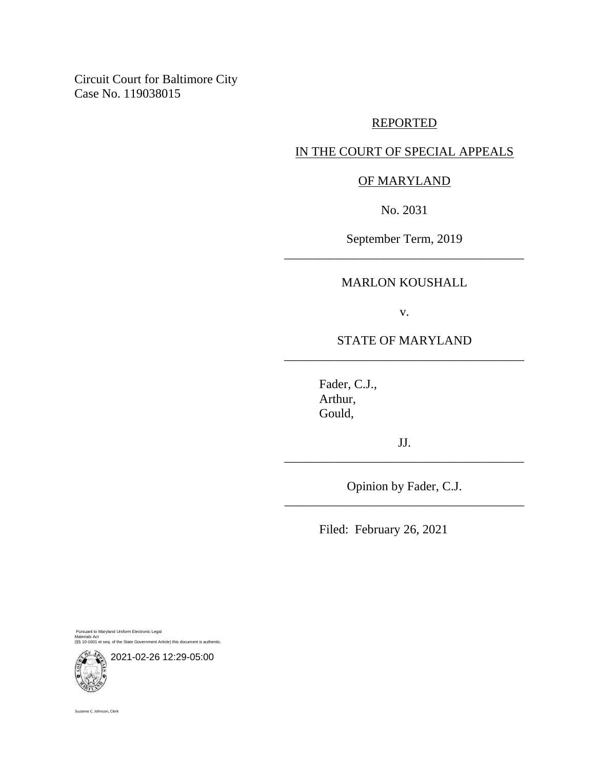Circuit Court for Baltimore City Case No. 119038015

## REPORTED

## IN THE COURT OF SPECIAL APPEALS

## OF MARYLAND

No. 2031

September Term, 2019 \_\_\_\_\_\_\_\_\_\_\_\_\_\_\_\_\_\_\_\_\_\_\_\_\_\_\_\_\_\_\_\_\_\_\_\_\_\_

### MARLON KOUSHALL

v.

## STATE OF MARYLAND \_\_\_\_\_\_\_\_\_\_\_\_\_\_\_\_\_\_\_\_\_\_\_\_\_\_\_\_\_\_\_\_\_\_\_\_\_\_

Fader, C.J., Arthur, Gould,

JJ. \_\_\_\_\_\_\_\_\_\_\_\_\_\_\_\_\_\_\_\_\_\_\_\_\_\_\_\_\_\_\_\_\_\_\_\_\_\_

Opinion by Fader, C.J. \_\_\_\_\_\_\_\_\_\_\_\_\_\_\_\_\_\_\_\_\_\_\_\_\_\_\_\_\_\_\_\_\_\_\_\_\_\_

Filed: February 26, 2021

Pursuant to Maryland Uniform Electronic Legal Materials Act (§§ 10-1601 et seq. of the State Government Article) this document is authentic.



Suzanne C. Johnson, Clerk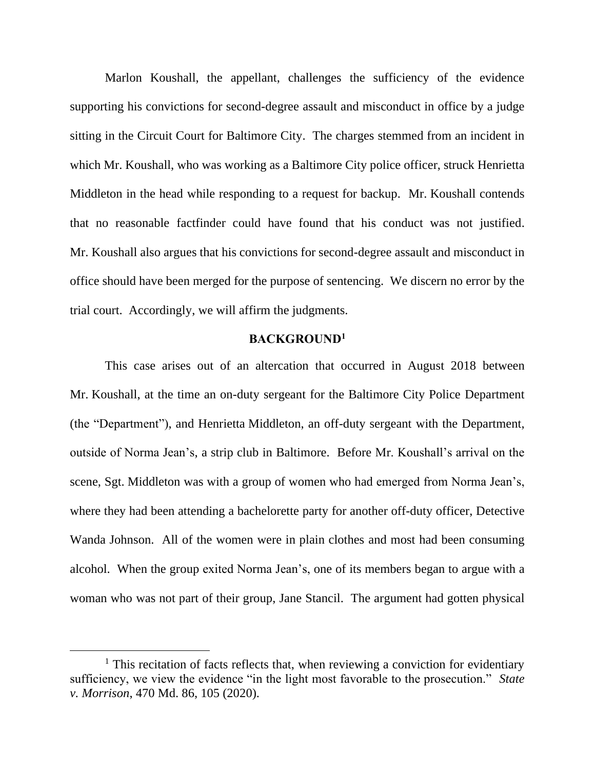Marlon Koushall, the appellant, challenges the sufficiency of the evidence supporting his convictions for second-degree assault and misconduct in office by a judge sitting in the Circuit Court for Baltimore City. The charges stemmed from an incident in which Mr. Koushall, who was working as a Baltimore City police officer, struck Henrietta Middleton in the head while responding to a request for backup. Mr. Koushall contends that no reasonable factfinder could have found that his conduct was not justified. Mr. Koushall also argues that his convictions for second-degree assault and misconduct in office should have been merged for the purpose of sentencing. We discern no error by the trial court. Accordingly, we will affirm the judgments.

## **BACKGROUND<sup>1</sup>**

This case arises out of an altercation that occurred in August 2018 between Mr. Koushall, at the time an on-duty sergeant for the Baltimore City Police Department (the "Department"), and Henrietta Middleton, an off-duty sergeant with the Department, outside of Norma Jean's, a strip club in Baltimore. Before Mr. Koushall's arrival on the scene, Sgt. Middleton was with a group of women who had emerged from Norma Jean's, where they had been attending a bachelorette party for another off-duty officer, Detective Wanda Johnson. All of the women were in plain clothes and most had been consuming alcohol. When the group exited Norma Jean's, one of its members began to argue with a woman who was not part of their group, Jane Stancil. The argument had gotten physical

 $<sup>1</sup>$  This recitation of facts reflects that, when reviewing a conviction for evidentiary</sup> sufficiency, we view the evidence "in the light most favorable to the prosecution." *State v. Morrison*, 470 Md. 86, 105 (2020).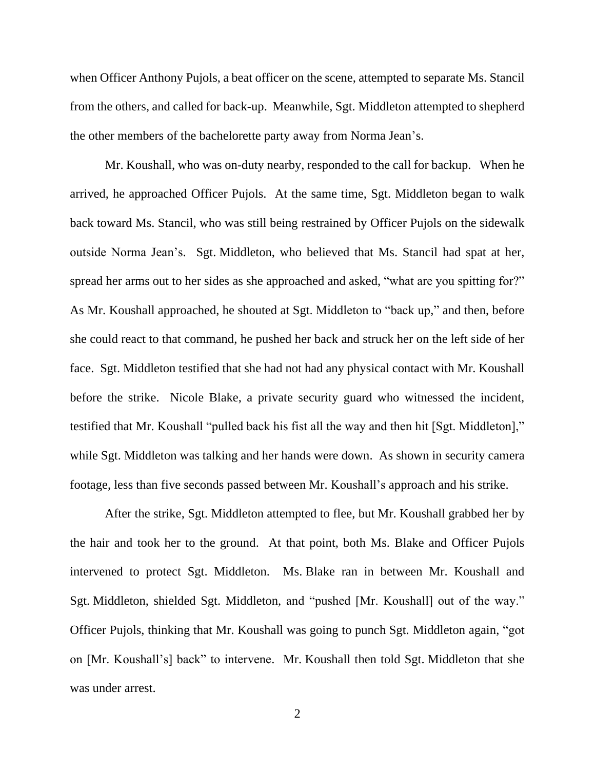when Officer Anthony Pujols, a beat officer on the scene, attempted to separate Ms. Stancil from the others, and called for back-up. Meanwhile, Sgt. Middleton attempted to shepherd the other members of the bachelorette party away from Norma Jean's.

Mr. Koushall, who was on-duty nearby, responded to the call for backup. When he arrived, he approached Officer Pujols. At the same time, Sgt. Middleton began to walk back toward Ms. Stancil, who was still being restrained by Officer Pujols on the sidewalk outside Norma Jean's. Sgt. Middleton, who believed that Ms. Stancil had spat at her, spread her arms out to her sides as she approached and asked, "what are you spitting for?" As Mr. Koushall approached, he shouted at Sgt. Middleton to "back up," and then, before she could react to that command, he pushed her back and struck her on the left side of her face. Sgt. Middleton testified that she had not had any physical contact with Mr. Koushall before the strike. Nicole Blake, a private security guard who witnessed the incident, testified that Mr. Koushall "pulled back his fist all the way and then hit [Sgt. Middleton]," while Sgt. Middleton was talking and her hands were down. As shown in security camera footage, less than five seconds passed between Mr. Koushall's approach and his strike.

After the strike, Sgt. Middleton attempted to flee, but Mr. Koushall grabbed her by the hair and took her to the ground. At that point, both Ms. Blake and Officer Pujols intervened to protect Sgt. Middleton. Ms. Blake ran in between Mr. Koushall and Sgt. Middleton, shielded Sgt. Middleton, and "pushed [Mr. Koushall] out of the way." Officer Pujols, thinking that Mr. Koushall was going to punch Sgt. Middleton again, "got on [Mr. Koushall's] back" to intervene. Mr. Koushall then told Sgt. Middleton that she was under arrest.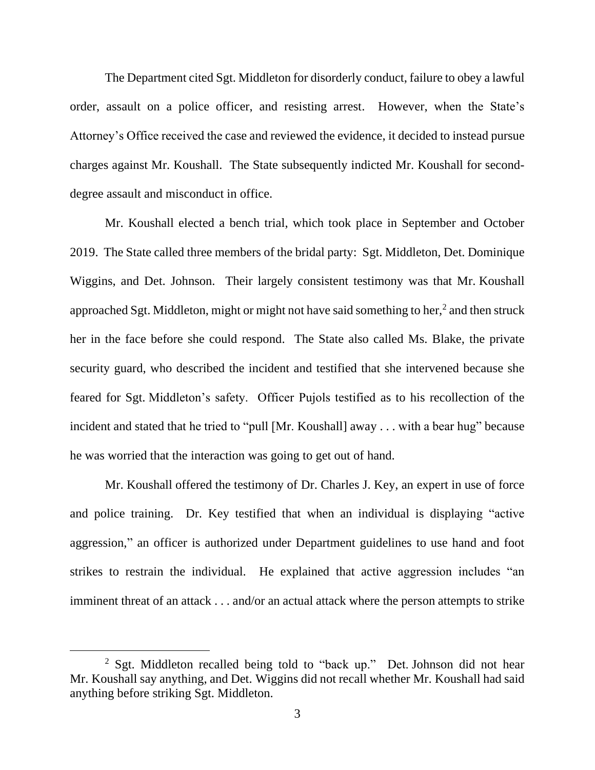The Department cited Sgt. Middleton for disorderly conduct, failure to obey a lawful order, assault on a police officer, and resisting arrest. However, when the State's Attorney's Office received the case and reviewed the evidence, it decided to instead pursue charges against Mr. Koushall. The State subsequently indicted Mr. Koushall for seconddegree assault and misconduct in office.

Mr. Koushall elected a bench trial, which took place in September and October 2019. The State called three members of the bridal party: Sgt. Middleton, Det. Dominique Wiggins, and Det. Johnson. Their largely consistent testimony was that Mr. Koushall approached Sgt. Middleton, might or might not have said something to her, $2$  and then struck her in the face before she could respond. The State also called Ms. Blake, the private security guard, who described the incident and testified that she intervened because she feared for Sgt. Middleton's safety. Officer Pujols testified as to his recollection of the incident and stated that he tried to "pull [Mr. Koushall] away . . . with a bear hug" because he was worried that the interaction was going to get out of hand.

Mr. Koushall offered the testimony of Dr. Charles J. Key, an expert in use of force and police training. Dr. Key testified that when an individual is displaying "active aggression," an officer is authorized under Department guidelines to use hand and foot strikes to restrain the individual. He explained that active aggression includes "an imminent threat of an attack . . . and/or an actual attack where the person attempts to strike

<sup>&</sup>lt;sup>2</sup> Sgt. Middleton recalled being told to "back up." Det. Johnson did not hear Mr. Koushall say anything, and Det. Wiggins did not recall whether Mr. Koushall had said anything before striking Sgt. Middleton.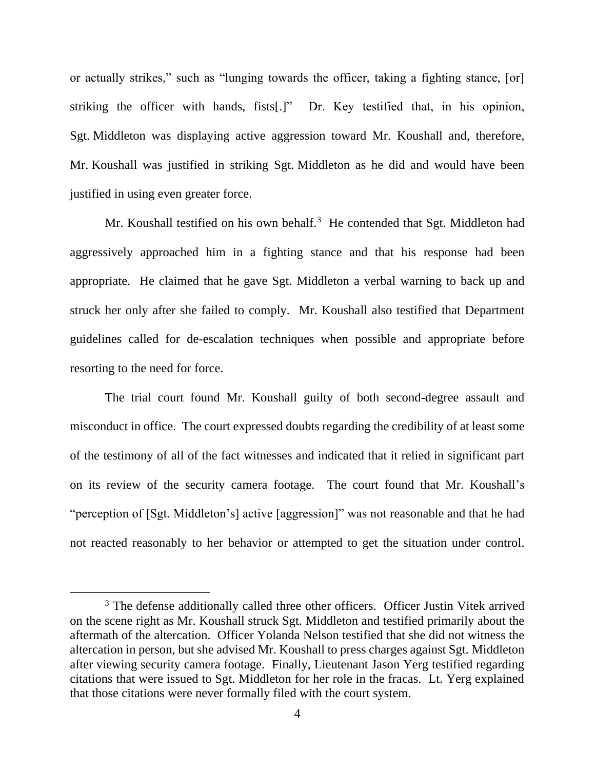or actually strikes," such as "lunging towards the officer, taking a fighting stance, [or] striking the officer with hands, fists[.]" Dr. Key testified that, in his opinion, Sgt. Middleton was displaying active aggression toward Mr. Koushall and, therefore, Mr. Koushall was justified in striking Sgt. Middleton as he did and would have been justified in using even greater force.

Mr. Koushall testified on his own behalf.<sup>3</sup> He contended that Sgt. Middleton had aggressively approached him in a fighting stance and that his response had been appropriate. He claimed that he gave Sgt. Middleton a verbal warning to back up and struck her only after she failed to comply. Mr. Koushall also testified that Department guidelines called for de-escalation techniques when possible and appropriate before resorting to the need for force.

The trial court found Mr. Koushall guilty of both second-degree assault and misconduct in office. The court expressed doubts regarding the credibility of at least some of the testimony of all of the fact witnesses and indicated that it relied in significant part on its review of the security camera footage. The court found that Mr. Koushall's "perception of [Sgt. Middleton's] active [aggression]" was not reasonable and that he had not reacted reasonably to her behavior or attempted to get the situation under control.

<sup>&</sup>lt;sup>3</sup> The defense additionally called three other officers. Officer Justin Vitek arrived on the scene right as Mr. Koushall struck Sgt. Middleton and testified primarily about the aftermath of the altercation. Officer Yolanda Nelson testified that she did not witness the altercation in person, but she advised Mr. Koushall to press charges against Sgt. Middleton after viewing security camera footage. Finally, Lieutenant Jason Yerg testified regarding citations that were issued to Sgt. Middleton for her role in the fracas. Lt. Yerg explained that those citations were never formally filed with the court system.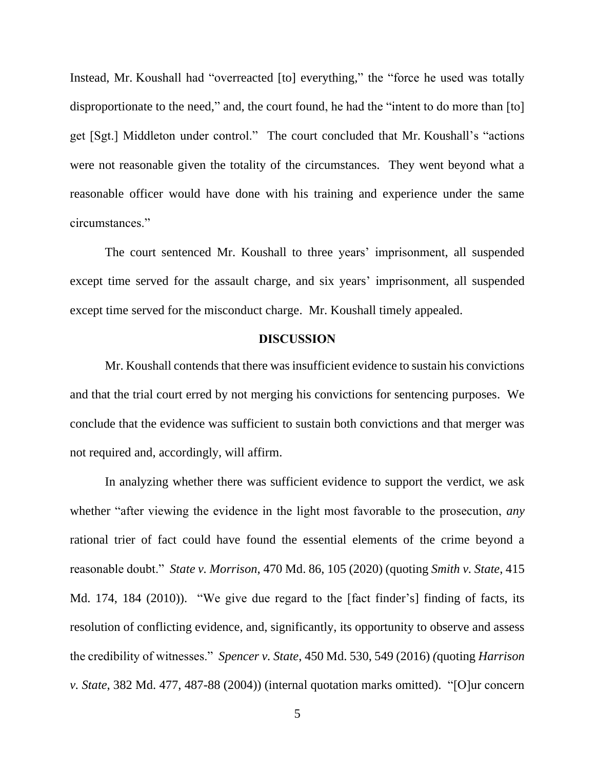Instead, Mr. Koushall had "overreacted [to] everything," the "force he used was totally disproportionate to the need," and, the court found, he had the "intent to do more than [to] get [Sgt.] Middleton under control." The court concluded that Mr. Koushall's "actions were not reasonable given the totality of the circumstances. They went beyond what a reasonable officer would have done with his training and experience under the same circumstances."

The court sentenced Mr. Koushall to three years' imprisonment, all suspended except time served for the assault charge, and six years' imprisonment, all suspended except time served for the misconduct charge. Mr. Koushall timely appealed.

#### **DISCUSSION**

Mr. Koushall contends that there was insufficient evidence to sustain his convictions and that the trial court erred by not merging his convictions for sentencing purposes. We conclude that the evidence was sufficient to sustain both convictions and that merger was not required and, accordingly, will affirm.

In analyzing whether there was sufficient evidence to support the verdict, we ask whether "after viewing the evidence in the light most favorable to the prosecution, *any* rational trier of fact could have found the essential elements of the crime beyond a reasonable doubt." *State v. Morrison*, 470 Md. 86, 105 (2020) (quoting *Smith v. State*, 415 Md. 174, 184 (2010)). "We give due regard to the [fact finder's] finding of facts, its resolution of conflicting evidence, and, significantly, its opportunity to observe and assess the credibility of witnesses." *Spencer v. State*, 450 Md. 530, 549 (2016) *(*quoting *Harrison v. State*, 382 Md. 477, 487-88 (2004)) (internal quotation marks omitted). "[O]ur concern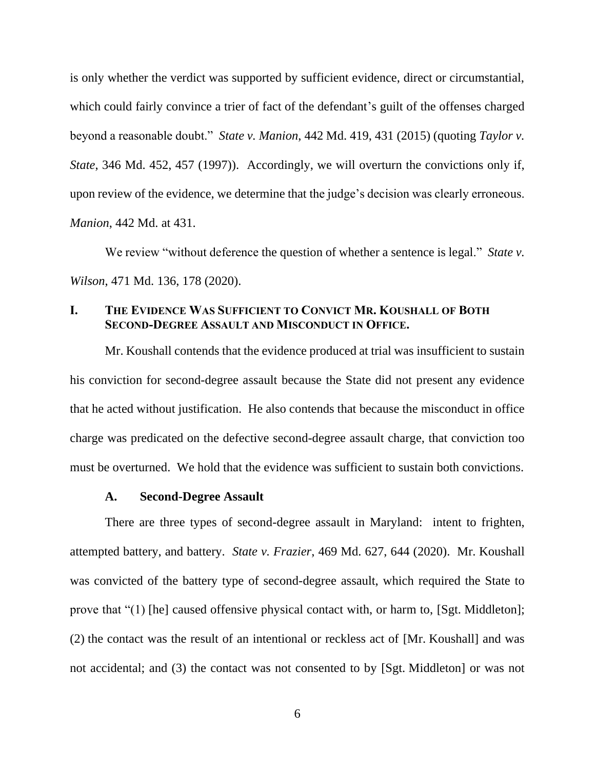is only whether the verdict was supported by sufficient evidence, direct or circumstantial, which could fairly convince a trier of fact of the defendant's guilt of the offenses charged beyond a reasonable doubt." *State v. Manion*, 442 Md. 419, 431 (2015) (quoting *Taylor v. State*, 346 Md. 452, 457 (1997)). Accordingly, we will overturn the convictions only if, upon review of the evidence, we determine that the judge's decision was clearly erroneous. *Manion*, 442 Md. at 431.

We review "without deference the question of whether a sentence is legal." *State v. Wilson*, 471 Md. 136, 178 (2020).

## **I. THE EVIDENCE WAS SUFFICIENT TO CONVICT MR. KOUSHALL OF BOTH SECOND-DEGREE ASSAULT AND MISCONDUCT IN OFFICE.**

Mr. Koushall contends that the evidence produced at trial was insufficient to sustain his conviction for second-degree assault because the State did not present any evidence that he acted without justification. He also contends that because the misconduct in office charge was predicated on the defective second-degree assault charge, that conviction too must be overturned. We hold that the evidence was sufficient to sustain both convictions.

#### **A. Second-Degree Assault**

There are three types of second-degree assault in Maryland: intent to frighten, attempted battery, and battery. *State v. Frazier*, 469 Md. 627, 644 (2020). Mr. Koushall was convicted of the battery type of second-degree assault, which required the State to prove that "(1) [he] caused offensive physical contact with, or harm to, [Sgt. Middleton]; (2) the contact was the result of an intentional or reckless act of [Mr. Koushall] and was not accidental; and (3) the contact was not consented to by [Sgt. Middleton] or was not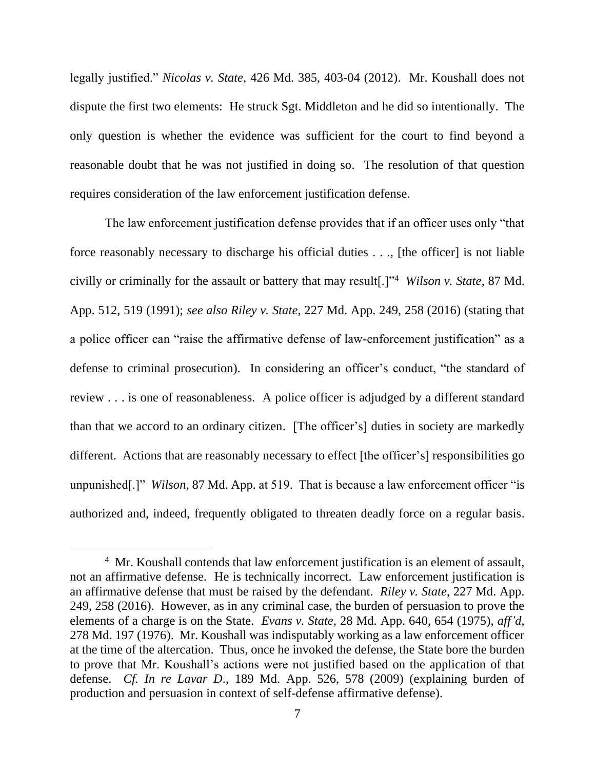legally justified." *Nicolas v. State*, 426 Md. 385, 403-04 (2012). Mr. Koushall does not dispute the first two elements: He struck Sgt. Middleton and he did so intentionally. The only question is whether the evidence was sufficient for the court to find beyond a reasonable doubt that he was not justified in doing so. The resolution of that question requires consideration of the law enforcement justification defense.

The law enforcement justification defense provides that if an officer uses only "that force reasonably necessary to discharge his official duties . . ., [the officer] is not liable civilly or criminally for the assault or battery that may result[.]"<sup>4</sup> *Wilson v. State*, 87 Md. App. 512, 519 (1991); *see also Riley v. State*, 227 Md. App. 249, 258 (2016) (stating that a police officer can "raise the affirmative defense of law-enforcement justification" as a defense to criminal prosecution). In considering an officer's conduct, "the standard of review . . . is one of reasonableness. A police officer is adjudged by a different standard than that we accord to an ordinary citizen. [The officer's] duties in society are markedly different. Actions that are reasonably necessary to effect [the officer's] responsibilities go unpunished[.]" *Wilson*, 87 Md. App. at 519. That is because a law enforcement officer "is authorized and, indeed, frequently obligated to threaten deadly force on a regular basis.

<sup>&</sup>lt;sup>4</sup> Mr. Koushall contends that law enforcement justification is an element of assault, not an affirmative defense. He is technically incorrect. Law enforcement justification is an affirmative defense that must be raised by the defendant. *Riley v. State*, 227 Md. App. 249, 258 (2016). However, as in any criminal case, the burden of persuasion to prove the elements of a charge is on the State. *Evans v. State*, 28 Md. App. 640, 654 (1975), *aff'd*, 278 Md. 197 (1976). Mr. Koushall was indisputably working as a law enforcement officer at the time of the altercation. Thus, once he invoked the defense, the State bore the burden to prove that Mr. Koushall's actions were not justified based on the application of that defense. *Cf. In re Lavar D*., 189 Md. App. 526, 578 (2009) (explaining burden of production and persuasion in context of self-defense affirmative defense).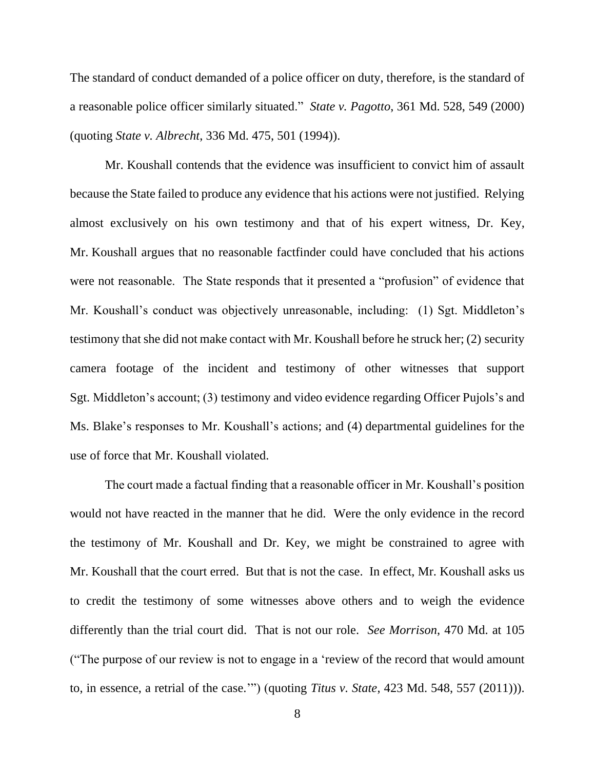The standard of conduct demanded of a police officer on duty, therefore, is the standard of a reasonable police officer similarly situated." *State v. Pagotto*, 361 Md. 528, 549 (2000) (quoting *State v. Albrecht*, 336 Md. 475, 501 (1994)).

Mr. Koushall contends that the evidence was insufficient to convict him of assault because the State failed to produce any evidence that his actions were not justified. Relying almost exclusively on his own testimony and that of his expert witness, Dr. Key, Mr. Koushall argues that no reasonable factfinder could have concluded that his actions were not reasonable. The State responds that it presented a "profusion" of evidence that Mr. Koushall's conduct was objectively unreasonable, including: (1) Sgt. Middleton's testimony that she did not make contact with Mr. Koushall before he struck her; (2) security camera footage of the incident and testimony of other witnesses that support Sgt. Middleton's account; (3) testimony and video evidence regarding Officer Pujols's and Ms. Blake's responses to Mr. Koushall's actions; and (4) departmental guidelines for the use of force that Mr. Koushall violated.

The court made a factual finding that a reasonable officer in Mr. Koushall's position would not have reacted in the manner that he did. Were the only evidence in the record the testimony of Mr. Koushall and Dr. Key, we might be constrained to agree with Mr. Koushall that the court erred. But that is not the case. In effect, Mr. Koushall asks us to credit the testimony of some witnesses above others and to weigh the evidence differently than the trial court did. That is not our role. *See Morrison*, 470 Md. at 105 ("The purpose of our review is not to engage in a 'review of the record that would amount to, in essence, a retrial of the case.'") (quoting *Titus v. State*, 423 Md. 548, 557 (2011))).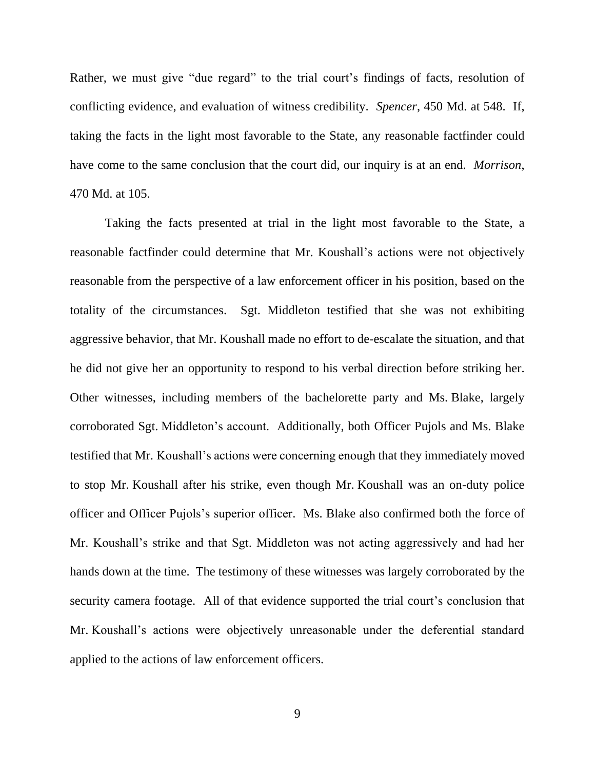Rather, we must give "due regard" to the trial court's findings of facts, resolution of conflicting evidence, and evaluation of witness credibility. *Spencer*, 450 Md. at 548. If, taking the facts in the light most favorable to the State, any reasonable factfinder could have come to the same conclusion that the court did, our inquiry is at an end. *Morrison*, 470 Md. at 105.

Taking the facts presented at trial in the light most favorable to the State, a reasonable factfinder could determine that Mr. Koushall's actions were not objectively reasonable from the perspective of a law enforcement officer in his position, based on the totality of the circumstances. Sgt. Middleton testified that she was not exhibiting aggressive behavior, that Mr. Koushall made no effort to de-escalate the situation, and that he did not give her an opportunity to respond to his verbal direction before striking her. Other witnesses, including members of the bachelorette party and Ms. Blake, largely corroborated Sgt. Middleton's account. Additionally, both Officer Pujols and Ms. Blake testified that Mr. Koushall's actions were concerning enough that they immediately moved to stop Mr. Koushall after his strike, even though Mr. Koushall was an on-duty police officer and Officer Pujols's superior officer. Ms. Blake also confirmed both the force of Mr. Koushall's strike and that Sgt. Middleton was not acting aggressively and had her hands down at the time. The testimony of these witnesses was largely corroborated by the security camera footage. All of that evidence supported the trial court's conclusion that Mr. Koushall's actions were objectively unreasonable under the deferential standard applied to the actions of law enforcement officers.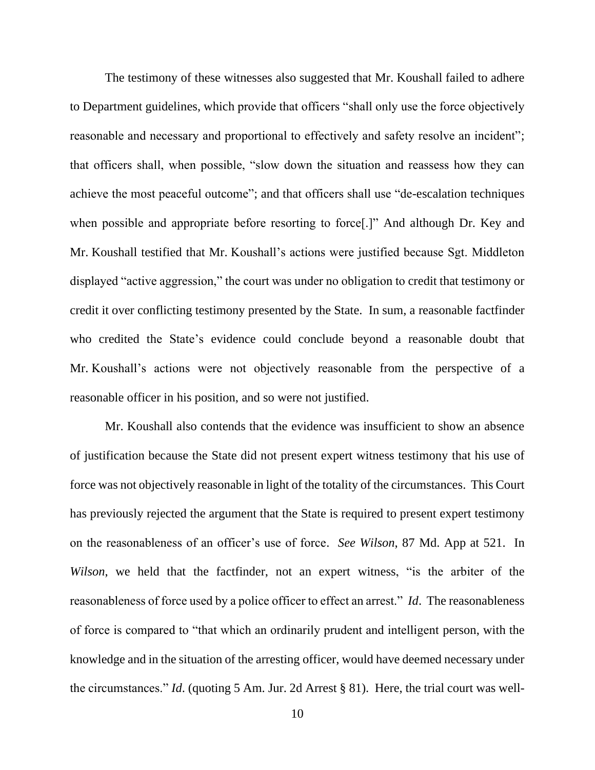The testimony of these witnesses also suggested that Mr. Koushall failed to adhere to Department guidelines, which provide that officers "shall only use the force objectively reasonable and necessary and proportional to effectively and safety resolve an incident"; that officers shall, when possible, "slow down the situation and reassess how they can achieve the most peaceful outcome"; and that officers shall use "de-escalation techniques when possible and appropriate before resorting to force[.]" And although Dr. Key and Mr. Koushall testified that Mr. Koushall's actions were justified because Sgt. Middleton displayed "active aggression," the court was under no obligation to credit that testimony or credit it over conflicting testimony presented by the State. In sum, a reasonable factfinder who credited the State's evidence could conclude beyond a reasonable doubt that Mr. Koushall's actions were not objectively reasonable from the perspective of a reasonable officer in his position, and so were not justified.

Mr. Koushall also contends that the evidence was insufficient to show an absence of justification because the State did not present expert witness testimony that his use of force was not objectively reasonable in light of the totality of the circumstances. This Court has previously rejected the argument that the State is required to present expert testimony on the reasonableness of an officer's use of force. *See Wilson*, 87 Md. App at 521. In *Wilson*, we held that the factfinder, not an expert witness, "is the arbiter of the reasonableness of force used by a police officer to effect an arrest." *Id*. The reasonableness of force is compared to "that which an ordinarily prudent and intelligent person, with the knowledge and in the situation of the arresting officer, would have deemed necessary under the circumstances." *Id*. (quoting 5 Am. Jur. 2d Arrest § 81). Here, the trial court was well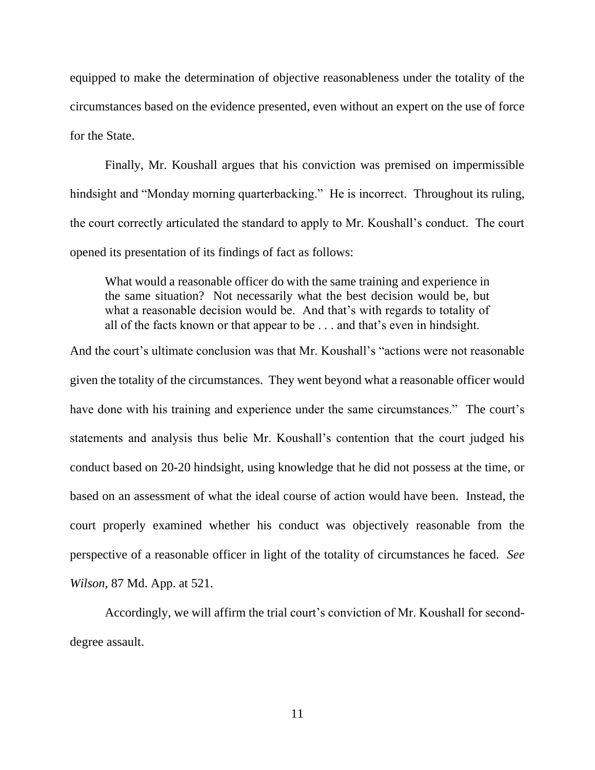equipped to make the determination of objective reasonableness under the totality of the circumstances based on the evidence presented, even without an expert on the use of force for the State.

Finally, Mr. Koushall argues that his conviction was premised on impermissible hindsight and "Monday morning quarterbacking." He is incorrect. Throughout its ruling, the court correctly articulated the standard to apply to Mr. Koushall's conduct. The court opened its presentation of its findings of fact as follows:

What would a reasonable officer do with the same training and experience in the same situation? Not necessarily what the best decision would be, but what a reasonable decision would be. And that's with regards to totality of all of the facts known or that appear to be . . . and that's even in hindsight.

And the court's ultimate conclusion was that Mr. Koushall's "actions were not reasonable given the totality of the circumstances. They went beyond what a reasonable officer would have done with his training and experience under the same circumstances." The court's statements and analysis thus belie Mr. Koushall's contention that the court judged his conduct based on 20-20 hindsight, using knowledge that he did not possess at the time, or based on an assessment of what the ideal course of action would have been. Instead, the court properly examined whether his conduct was objectively reasonable from the perspective of a reasonable officer in light of the totality of circumstances he faced. *See Wilson*, 87 Md. App. at 521.

Accordingly, we will affirm the trial court's conviction of Mr. Koushall for seconddegree assault.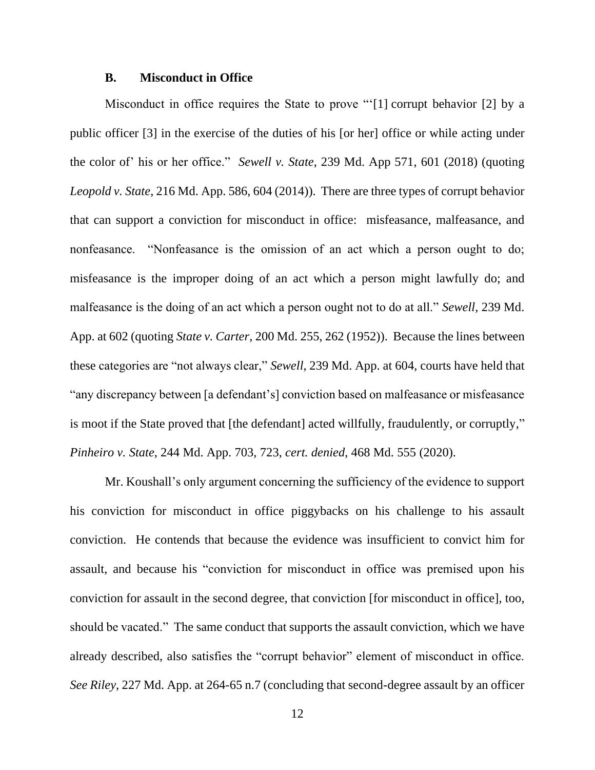#### **B. Misconduct in Office**

Misconduct in office requires the State to prove "'[1] corrupt behavior [2] by a public officer [3] in the exercise of the duties of his [or her] office or while acting under the color of' his or her office." *Sewell v. State*, 239 Md. App 571, 601 (2018) (quoting *Leopold v. State*, 216 Md. App. 586, 604 (2014)). There are three types of corrupt behavior that can support a conviction for misconduct in office: misfeasance, malfeasance, and nonfeasance. "Nonfeasance is the omission of an act which a person ought to do; misfeasance is the improper doing of an act which a person might lawfully do; and malfeasance is the doing of an act which a person ought not to do at all." *Sewell*, 239 Md. App. at 602 (quoting *State v. Carter*, 200 Md. 255, 262 (1952)). Because the lines between these categories are "not always clear," *Sewell*, 239 Md. App. at 604, courts have held that "any discrepancy between [a defendant's] conviction based on malfeasance or misfeasance is moot if the State proved that [the defendant] acted willfully, fraudulently, or corruptly," *Pinheiro v. State*, 244 Md. App. 703, 723, *cert. denied*, 468 Md. 555 (2020).

Mr. Koushall's only argument concerning the sufficiency of the evidence to support his conviction for misconduct in office piggybacks on his challenge to his assault conviction. He contends that because the evidence was insufficient to convict him for assault, and because his "conviction for misconduct in office was premised upon his conviction for assault in the second degree, that conviction [for misconduct in office], too, should be vacated." The same conduct that supports the assault conviction, which we have already described, also satisfies the "corrupt behavior" element of misconduct in office. *See Riley*, 227 Md. App. at 264-65 n.7 (concluding that second-degree assault by an officer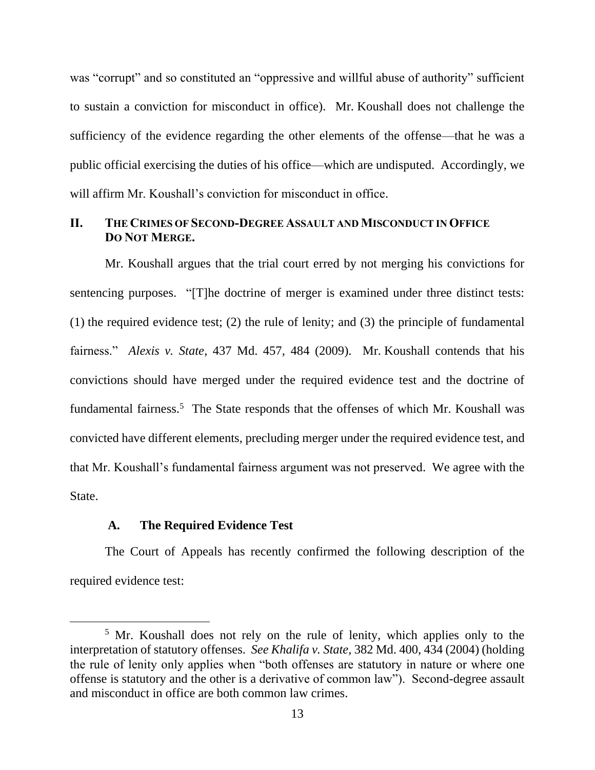was "corrupt" and so constituted an "oppressive and willful abuse of authority" sufficient to sustain a conviction for misconduct in office). Mr. Koushall does not challenge the sufficiency of the evidence regarding the other elements of the offense—that he was a public official exercising the duties of his office—which are undisputed. Accordingly, we will affirm Mr. Koushall's conviction for misconduct in office.

## **II. THE CRIMES OF SECOND-DEGREE ASSAULT AND MISCONDUCT IN OFFICE DO NOT MERGE.**

Mr. Koushall argues that the trial court erred by not merging his convictions for sentencing purposes. "[T]he doctrine of merger is examined under three distinct tests: (1) the required evidence test; (2) the rule of lenity; and (3) the principle of fundamental fairness." *Alexis v. State*, 437 Md. 457, 484 (2009). Mr. Koushall contends that his convictions should have merged under the required evidence test and the doctrine of fundamental fairness.<sup>5</sup> The State responds that the offenses of which Mr. Koushall was convicted have different elements, precluding merger under the required evidence test, and that Mr. Koushall's fundamental fairness argument was not preserved. We agree with the State.

### **A. The Required Evidence Test**

The Court of Appeals has recently confirmed the following description of the required evidence test:

<sup>&</sup>lt;sup>5</sup> Mr. Koushall does not rely on the rule of lenity, which applies only to the interpretation of statutory offenses. *See Khalifa v. State,* 382 Md. 400, 434 (2004) (holding the rule of lenity only applies when "both offenses are statutory in nature or where one offense is statutory and the other is a derivative of common law"). Second-degree assault and misconduct in office are both common law crimes.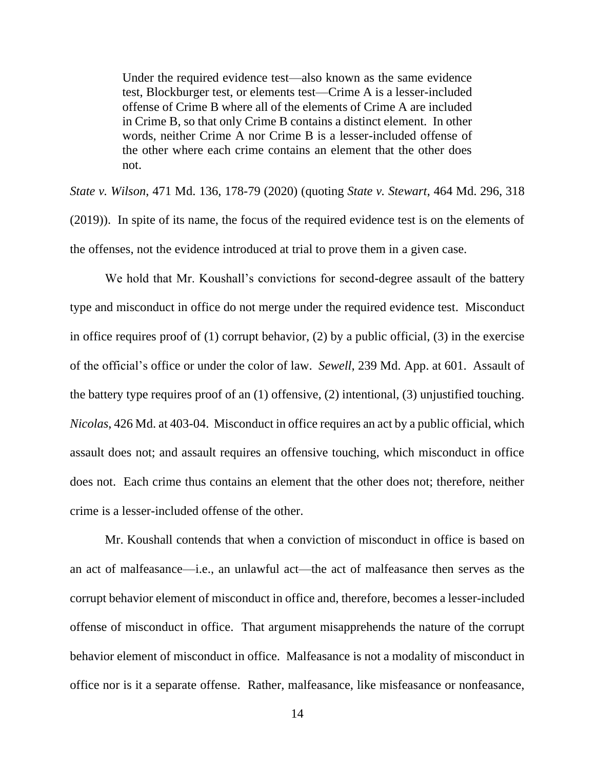Under the required evidence test—also known as the same evidence test, Blockburger test, or elements test—Crime A is a lesser-included offense of Crime B where all of the elements of Crime A are included in Crime B, so that only Crime B contains a distinct element. In other words, neither Crime A nor Crime B is a lesser-included offense of the other where each crime contains an element that the other does not.

*State v. Wilson*, 471 Md. 136, 178-79 (2020) (quoting *State v. Stewart*, 464 Md. 296, 318 (2019)). In spite of its name, the focus of the required evidence test is on the elements of the offenses, not the evidence introduced at trial to prove them in a given case.

We hold that Mr. Koushall's convictions for second-degree assault of the battery type and misconduct in office do not merge under the required evidence test. Misconduct in office requires proof of (1) corrupt behavior, (2) by a public official, (3) in the exercise of the official's office or under the color of law. *Sewell*, 239 Md. App. at 601. Assault of the battery type requires proof of an (1) offensive, (2) intentional, (3) unjustified touching. *Nicolas*, 426 Md. at 403-04. Misconduct in office requires an act by a public official, which assault does not; and assault requires an offensive touching, which misconduct in office does not. Each crime thus contains an element that the other does not; therefore, neither crime is a lesser-included offense of the other.

Mr. Koushall contends that when a conviction of misconduct in office is based on an act of malfeasance—i.e., an unlawful act—the act of malfeasance then serves as the corrupt behavior element of misconduct in office and, therefore, becomes a lesser-included offense of misconduct in office. That argument misapprehends the nature of the corrupt behavior element of misconduct in office. Malfeasance is not a modality of misconduct in office nor is it a separate offense. Rather, malfeasance, like misfeasance or nonfeasance,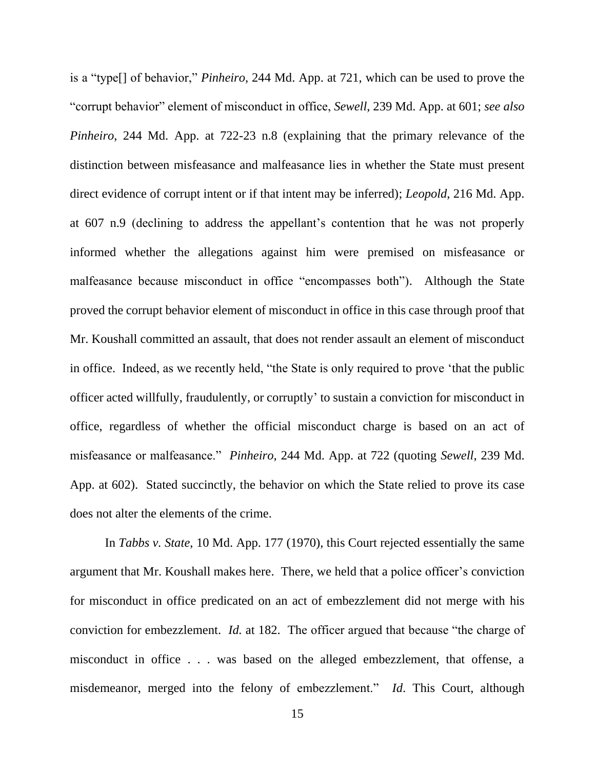is a "type[] of behavior," *Pinheiro*, 244 Md. App. at 721, which can be used to prove the "corrupt behavior" element of misconduct in office, *Sewell*, 239 Md. App. at 601; *see also Pinheiro*, 244 Md. App. at 722-23 n.8 (explaining that the primary relevance of the distinction between misfeasance and malfeasance lies in whether the State must present direct evidence of corrupt intent or if that intent may be inferred); *Leopold*, 216 Md. App. at 607 n.9 (declining to address the appellant's contention that he was not properly informed whether the allegations against him were premised on misfeasance or malfeasance because misconduct in office "encompasses both"). Although the State proved the corrupt behavior element of misconduct in office in this case through proof that Mr. Koushall committed an assault, that does not render assault an element of misconduct in office. Indeed, as we recently held, "the State is only required to prove 'that the public officer acted willfully, fraudulently, or corruptly' to sustain a conviction for misconduct in office, regardless of whether the official misconduct charge is based on an act of misfeasance or malfeasance." *Pinheiro*, 244 Md. App. at 722 (quoting *Sewell*, 239 Md. App. at 602). Stated succinctly, the behavior on which the State relied to prove its case does not alter the elements of the crime.

In *Tabbs v. State*, 10 Md. App. 177 (1970), this Court rejected essentially the same argument that Mr. Koushall makes here. There, we held that a police officer's conviction for misconduct in office predicated on an act of embezzlement did not merge with his conviction for embezzlement. *Id.* at 182. The officer argued that because "the charge of misconduct in office . . . was based on the alleged embezzlement, that offense, a misdemeanor, merged into the felony of embezzlement." *Id*. This Court, although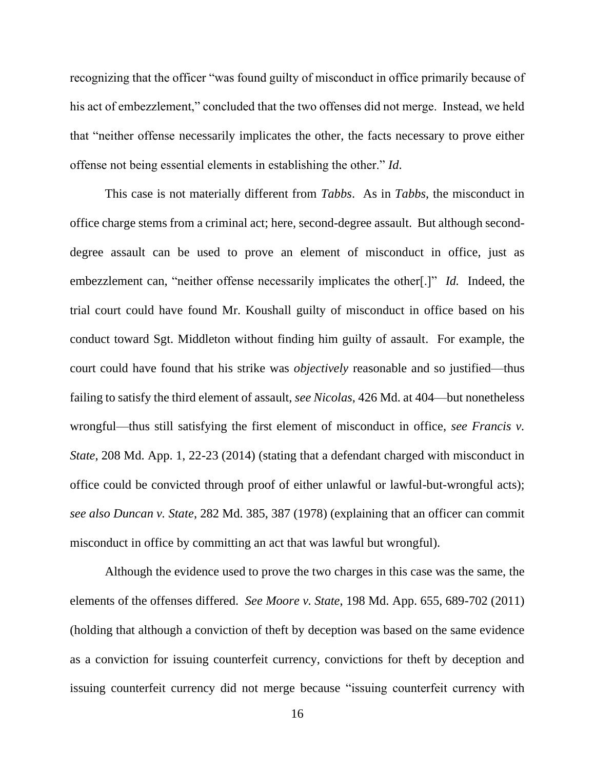recognizing that the officer "was found guilty of misconduct in office primarily because of his act of embezzlement," concluded that the two offenses did not merge. Instead, we held that "neither offense necessarily implicates the other, the facts necessary to prove either offense not being essential elements in establishing the other." *Id*.

This case is not materially different from *Tabbs*. As in *Tabbs*, the misconduct in office charge stems from a criminal act; here, second-degree assault. But although seconddegree assault can be used to prove an element of misconduct in office, just as embezzlement can, "neither offense necessarily implicates the other[.]" *Id.* Indeed, the trial court could have found Mr. Koushall guilty of misconduct in office based on his conduct toward Sgt. Middleton without finding him guilty of assault. For example, the court could have found that his strike was *objectively* reasonable and so justified—thus failing to satisfy the third element of assault, *see Nicolas*, 426 Md. at 404—but nonetheless wrongful—thus still satisfying the first element of misconduct in office, *see Francis v. State*, 208 Md. App. 1, 22-23 (2014) (stating that a defendant charged with misconduct in office could be convicted through proof of either unlawful or lawful-but-wrongful acts); *see also Duncan v. State*, 282 Md. 385, 387 (1978) (explaining that an officer can commit misconduct in office by committing an act that was lawful but wrongful).

Although the evidence used to prove the two charges in this case was the same, the elements of the offenses differed. *See Moore v. State*, 198 Md. App. 655, 689-702 (2011) (holding that although a conviction of theft by deception was based on the same evidence as a conviction for issuing counterfeit currency, convictions for theft by deception and issuing counterfeit currency did not merge because "issuing counterfeit currency with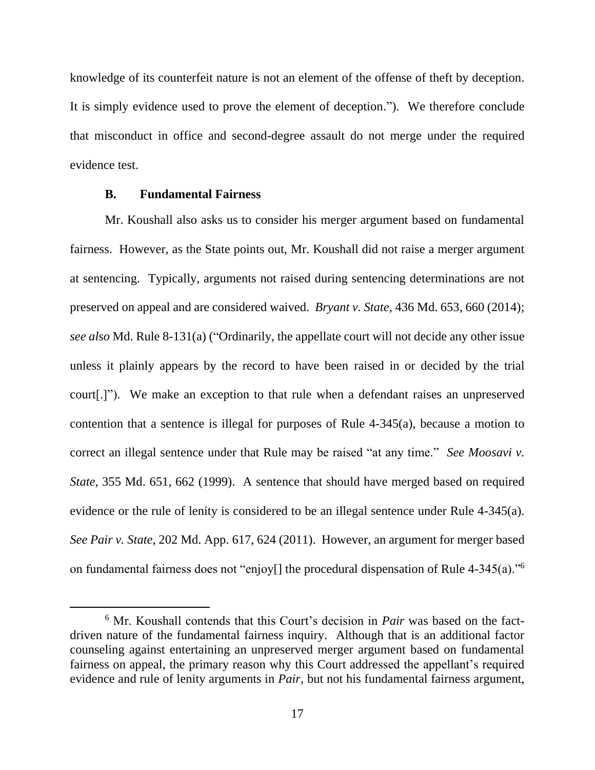knowledge of its counterfeit nature is not an element of the offense of theft by deception. It is simply evidence used to prove the element of deception."). We therefore conclude that misconduct in office and second-degree assault do not merge under the required evidence test.

## **B. Fundamental Fairness**

Mr. Koushall also asks us to consider his merger argument based on fundamental fairness. However, as the State points out, Mr. Koushall did not raise a merger argument at sentencing. Typically, arguments not raised during sentencing determinations are not preserved on appeal and are considered waived. *Bryant v. State*, 436 Md. 653, 660 (2014); *see also* Md. Rule 8-131(a) ("Ordinarily, the appellate court will not decide any other issue unless it plainly appears by the record to have been raised in or decided by the trial court[.]"). We make an exception to that rule when a defendant raises an unpreserved contention that a sentence is illegal for purposes of Rule 4-345(a), because a motion to correct an illegal sentence under that Rule may be raised "at any time." *See Moosavi v. State*, 355 Md. 651, 662 (1999). A sentence that should have merged based on required evidence or the rule of lenity is considered to be an illegal sentence under Rule 4-345(a). *See Pair v. State*, 202 Md. App. 617, 624 (2011). However, an argument for merger based on fundamental fairness does not "enjoy[] the procedural dispensation of Rule 4-345(a)."<sup>6</sup>

<sup>&</sup>lt;sup>6</sup> Mr. Koushall contends that this Court's decision in *Pair* was based on the factdriven nature of the fundamental fairness inquiry. Although that is an additional factor counseling against entertaining an unpreserved merger argument based on fundamental fairness on appeal, the primary reason why this Court addressed the appellant's required evidence and rule of lenity arguments in *Pair*, but not his fundamental fairness argument,